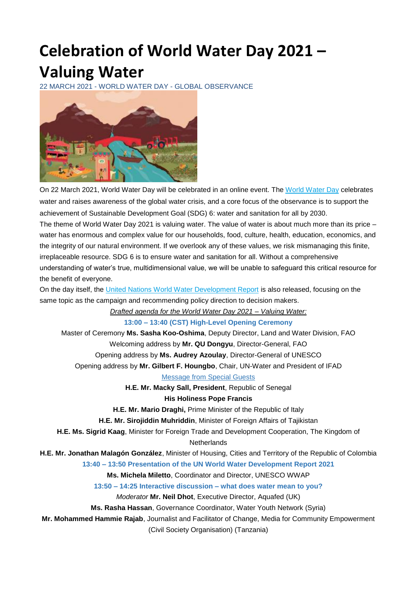# **Celebration of World Water Day 2021 – Valuing Water**

22 MARCH 2021 - WORLD WATER DAY - GLOBAL OBSERVANCE



On 22 March 2021, World Water Day will be celebrated in an online event. The [World Water Day](https://www.worldwaterday.org/) celebrates water and raises awareness of the global water crisis, and a core focus of the observance is to support the achievement of Sustainable Development Goal (SDG) 6: water and sanitation for all by 2030. The theme of World Water Day 2021 is valuing water. The value of water is about much more than its price – water has enormous and complex value for our households, food, culture, health, education, economics, and the integrity of our natural environment. If we overlook any of these values, we risk mismanaging this finite, irreplaceable resource. SDG 6 is to ensure water and sanitation for all. Without a comprehensive understanding of water's true, multidimensional value, we will be unable to safeguard this critical resource for the benefit of everyone.

On the day itself, the [United Nations World Water Development Report](https://www.unwater.org/publication_categories/world-water-development-report/) is also released, focusing on the same topic as the campaign and recommending policy direction to decision makers.

*Drafted agenda for the World Water Day 2021 – Valuing Water:*

**13:00 – 13:40 (CST) High-Level Opening Ceremony**

Master of Ceremony **Ms. Sasha Koo-Oshima**, Deputy Director, Land and Water Division, FAO Welcoming address by **Mr. QU Dongyu**, Director-General, FAO Opening address by **Ms. Audrey Azoulay**, Director-General of UNESCO Opening address by **Mr. Gilbert F. Houngbo**, Chair, UN-Water and President of IFAD

Message from Special Guests

**H.E. Mr. Macky Sall, President**, Republic of Senegal **His Holiness Pope Francis**

**H.E. Mr. Mario Draghi,** Prime Minister of the Republic of Italy

**H.E. Mr. Sirojiddin Muhriddin**, Minister of Foreign Affairs of Tajikistan

**H.E. Ms. Sigrid Kaag**, Minister for Foreign Trade and Development Cooperation, The Kingdom of

**Netherlands** 

**H.E. Mr. Jonathan Malagón González**, Minister of Housing, Cities and Territory of the Republic of Colombia

**13:40 – 13:50 Presentation of the UN World Water Development Report 2021**

**Ms. Michela Miletto**, Coordinator and Director, UNESCO WWAP

**13:50 – 14:25 Interactive discussion – what does water mean to you?**

*Moderator* **Mr. Neil Dhot**, Executive Director, Aquafed (UK)

**Ms. Rasha Hassan**, Governance Coordinator, Water Youth Network (Syria)

**Mr. Mohammed Hammie Rajab**, Journalist and Facilitator of Change, Media for Community Empowerment

(Civil Society Organisation) (Tanzania)